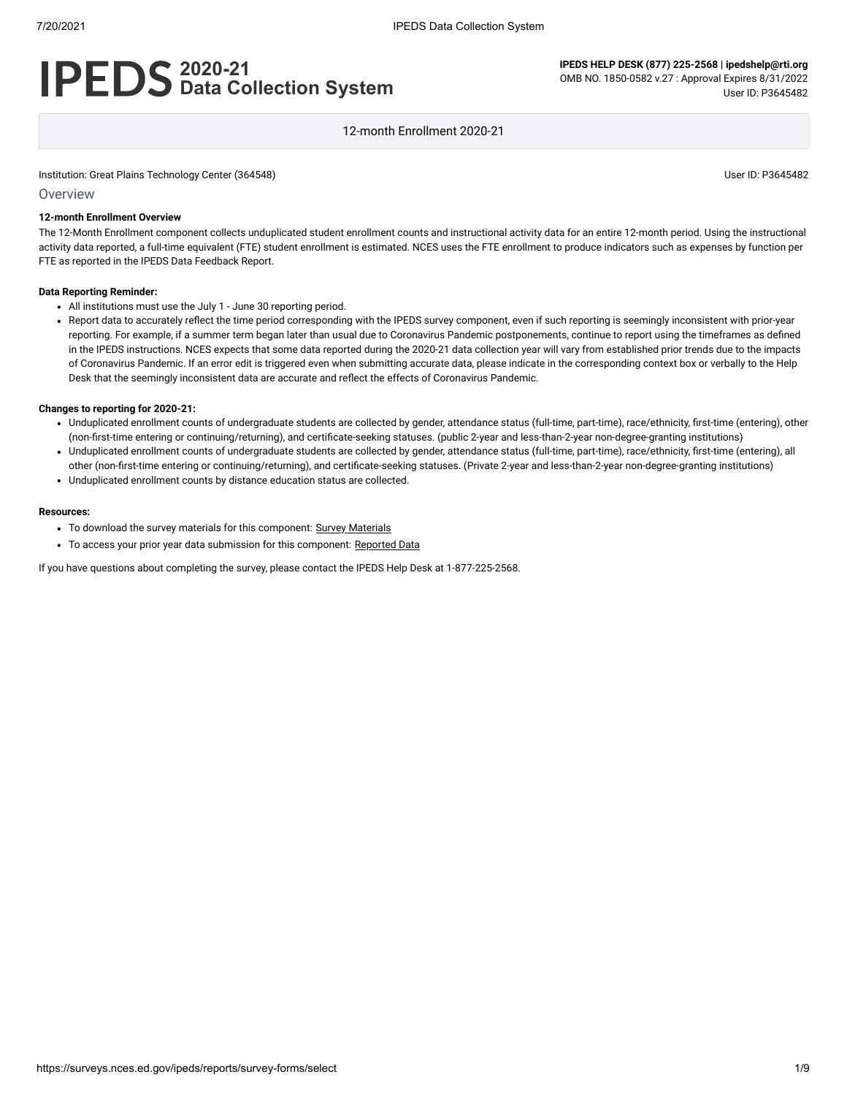# **2020-21 Data Collection System**

**IPEDS HELP DESK (877) 225-2568 | ipedshelp@rti.org** OMB NO. 1850-0582 v.27 : Approval Expires 8/31/2022 User ID: P3645482

12-month Enrollment 2020-21

Institution: Great Plains Technology Center (364548) **Distribution: Great Plains Technology Center (3645482** User ID: P3645482

#### **Overview**

#### **12-month Enrollment Overview**

The 12-Month Enrollment component collects unduplicated student enrollment counts and instructional activity data for an entire 12-month period. Using the instructional activity data reported, a full-time equivalent (FTE) student enrollment is estimated. NCES uses the FTE enrollment to produce indicators such as expenses by function per FTE as reported in the IPEDS Data Feedback Report.

#### **Data Reporting Reminder:**

- All institutions must use the July 1 June 30 reporting period.
- Report data to accurately reflect the time period corresponding with the IPEDS survey component, even if such reporting is seemingly inconsistent with prior-year reporting. For example, if a summer term began later than usual due to Coronavirus Pandemic postponements, continue to report using the timeframes as defined in the IPEDS instructions. NCES expects that some data reported during the 2020-21 data collection year will vary from established prior trends due to the impacts of Coronavirus Pandemic. If an error edit is triggered even when submitting accurate data, please indicate in the corresponding context box or verbally to the Help Desk that the seemingly inconsistent data are accurate and reflect the effects of Coronavirus Pandemic.

#### **Changes to reporting for 2020-21:**

- Unduplicated enrollment counts of undergraduate students are collected by gender, attendance status (full-time, part-time), race/ethnicity, first-time (entering), other (non-first-time entering or continuing/returning), and certificate-seeking statuses. (public 2-year and less-than-2-year non-degree-granting institutions)
- Unduplicated enrollment counts of undergraduate students are collected by gender, attendance status (full-time, part-time), race/ethnicity, first-time (entering), all other (non-first-time entering or continuing/returning), and certificate-seeking statuses. (Private 2-year and less-than-2-year non-degree-granting institutions)
- Unduplicated enrollment counts by distance education status are collected.

#### **Resources:**

- To download the survey materials for this component: Survey [Materials](https://surveys.nces.ed.gov/ipeds/public/survey-materials/index)
- To access your prior year data submission for this component: [Reported Data](https://surveys.nces.ed.gov/IPEDS_py/DataForms.aspx?f0e9e4efc4dfb8aeb1afb0afb3a1eef0edf1e0f4c4dfb8b4a1f0eee0edc4dfb8cbaeb1afb0afb3ada1f0e9e4efc9dce8e0b8c2ede0dcef9bcbe7dce4e9ee9bcfe0dee3e9eae7eae2f49bbee0e9efe0eda1ebedeadee0eeeeb8e0f3efe0ede9dce7a1eddfefb8b2aaadabaaadabadac9bafb5adb3b5afb19bcbc8)

If you have questions about completing the survey, please contact the IPEDS Help Desk at 1-877-225-2568.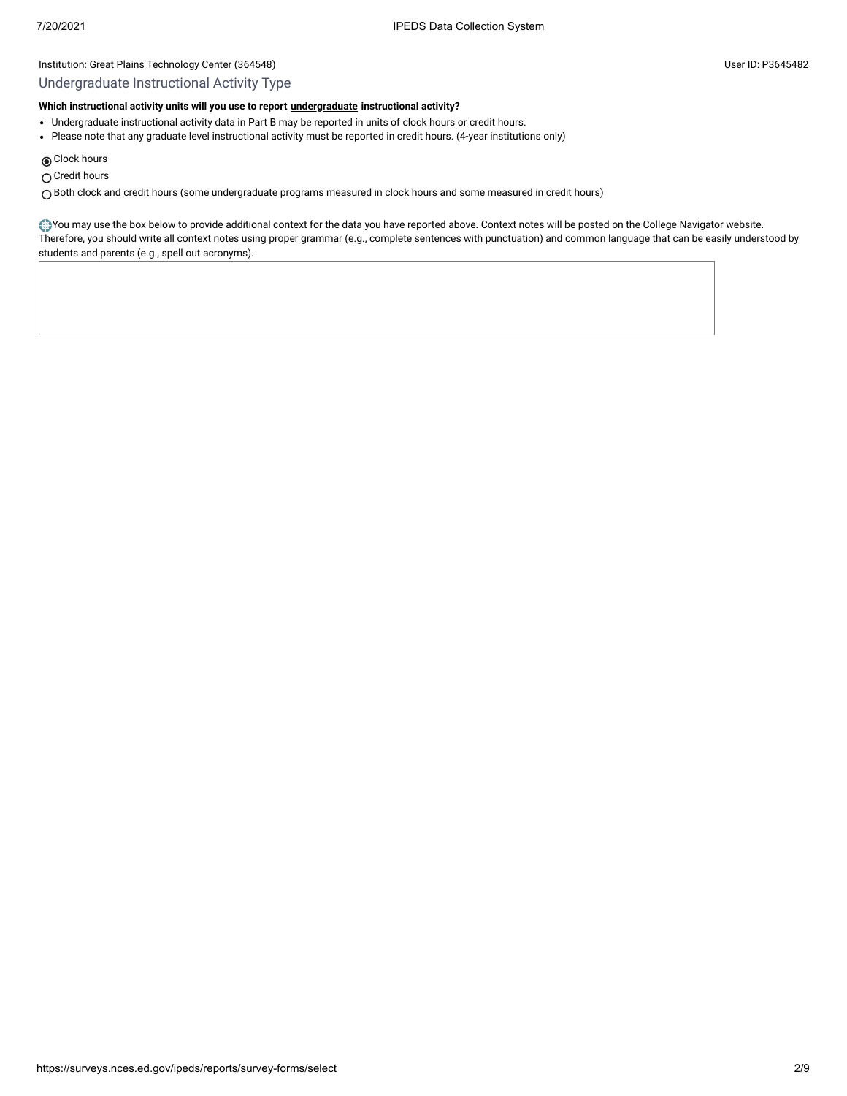### Undergraduate Instructional Activity Type

# **Which instructional activity units will you use to report [undergraduate](javascript:openglossary(677)) instructional activity?**

- Undergraduate instructional activity data in Part B may be reported in units of clock hours or credit hours.
- Please note that any graduate level instructional activity must be reported in credit hours. (4-year institutions only)

Clock hours

○ Credit hours

Both clock and credit hours (some undergraduate programs measured in clock hours and some measured in credit hours)

You may use the box below to provide additional context for the data you have reported above. Context notes will be posted on the College Navigator website. Therefore, you should write all context notes using proper grammar (e.g., complete sentences with punctuation) and common language that can be easily understood by students and parents (e.g., spell out acronyms).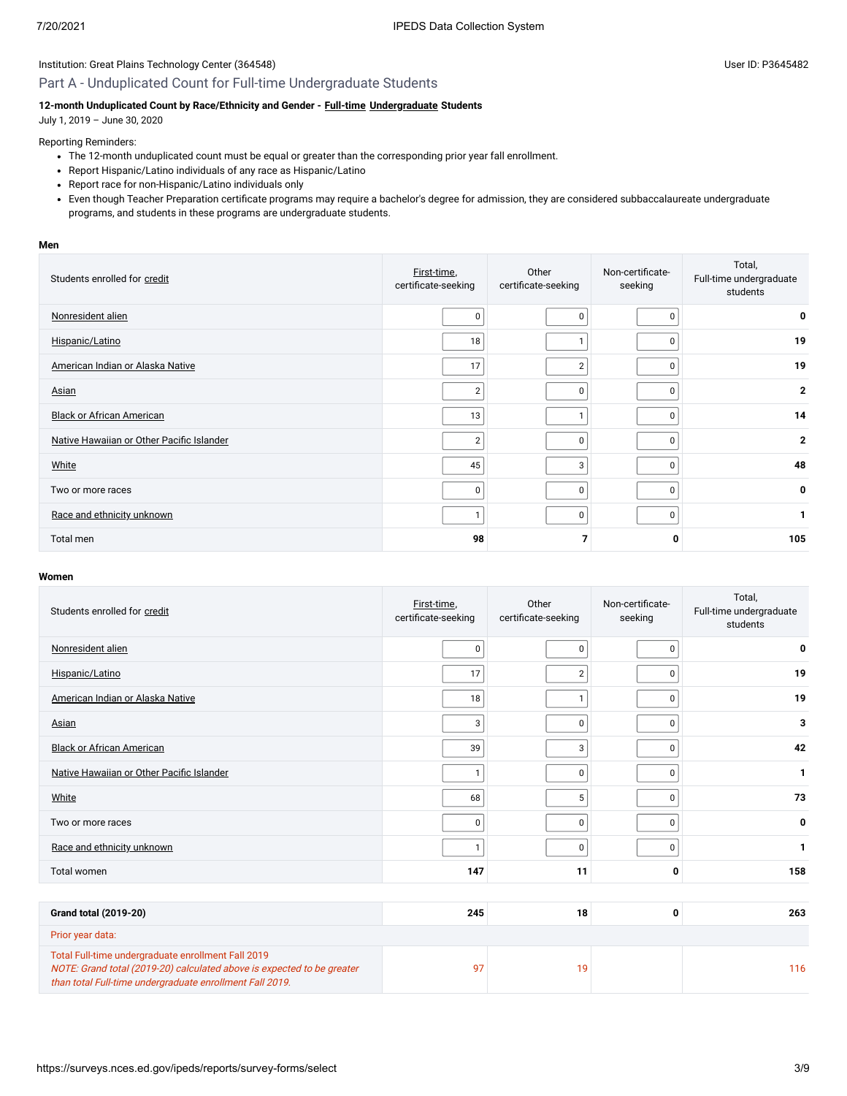# Part A - Unduplicated Count for Full-time Undergraduate Students

### 12-month Unduplicated Count by Race/Ethnicity and Gender - **Full-time [Undergraduate](javascript:openglossary(677))** Students

July 1, 2019 – June 30, 2020

### Reporting Reminders:

- The 12-month unduplicated count must be equal or greater than the corresponding prior year fall enrollment.
- Report Hispanic/Latino individuals of any race as Hispanic/Latino
- Report race for non-Hispanic/Latino individuals only
- Even though Teacher Preparation certificate programs may require a bachelor's degree for admission, they are considered subbaccalaureate undergraduate programs, and students in these programs are undergraduate students.

#### **Men**

| Students enrolled for credit              | First-time,<br>certificate-seeking | Other<br>certificate-seeking | Non-certificate-<br>seeking | Total,<br>Full-time undergraduate<br>students |
|-------------------------------------------|------------------------------------|------------------------------|-----------------------------|-----------------------------------------------|
| Nonresident alien                         | $\mathbf 0$                        | 0                            |                             | 0                                             |
| Hispanic/Latino                           | 18                                 |                              |                             | 19                                            |
| American Indian or Alaska Native          | 17                                 | 2                            |                             | 19                                            |
| Asian                                     | $\overline{2}$                     | $\pmb{0}$                    | <sup>0</sup>                | $\mathbf{2}$                                  |
| <b>Black or African American</b>          | 13                                 | 1                            | $\Omega$                    | 14                                            |
| Native Hawaiian or Other Pacific Islander | $\overline{2}$                     | 0                            | n                           | $\mathbf{2}$                                  |
| White                                     | 45                                 | 3                            | ŋ                           | 48                                            |
| Two or more races                         | 0                                  | $\mathbf 0$                  | $\Omega$                    | 0                                             |
| Race and ethnicity unknown                |                                    | $\mathbf 0$                  | $\Omega$                    | 1                                             |
| Total men                                 | 98                                 |                              | 0                           | 105                                           |

#### **Women**

| Students enrolled for credit                                                                                                                                                             | First-time,<br>certificate-seeking | Other<br>Non-certificate-<br>certificate-seeking<br>seeking |             |     |  | Total,<br>Full-time undergraduate<br>students |
|------------------------------------------------------------------------------------------------------------------------------------------------------------------------------------------|------------------------------------|-------------------------------------------------------------|-------------|-----|--|-----------------------------------------------|
| Nonresident alien                                                                                                                                                                        | $\pmb{0}$                          | 0                                                           | 0           | 0   |  |                                               |
| Hispanic/Latino                                                                                                                                                                          | 17                                 | $\overline{2}$                                              | $\Omega$    | 19  |  |                                               |
| American Indian or Alaska Native                                                                                                                                                         | 18                                 | $\mathbf{1}$                                                | 0           | 19  |  |                                               |
| <b>Asian</b>                                                                                                                                                                             | $\sqrt{3}$                         | 0                                                           | 0           | 3   |  |                                               |
| <b>Black or African American</b>                                                                                                                                                         | 39                                 | 3                                                           | $\Omega$    | 42  |  |                                               |
| Native Hawaiian or Other Pacific Islander                                                                                                                                                | $\mathbf{1}$                       | 0                                                           | $\mathbf 0$ | 1   |  |                                               |
| White                                                                                                                                                                                    | 68                                 | 5                                                           | $\Omega$    | 73  |  |                                               |
| Two or more races                                                                                                                                                                        | $\mathbf 0$                        | 0                                                           | $\Omega$    | 0   |  |                                               |
| Race and ethnicity unknown                                                                                                                                                               | $\mathbf{1}$                       | 0                                                           | 0           | 1   |  |                                               |
| Total women                                                                                                                                                                              | 147                                | 11                                                          | 0           | 158 |  |                                               |
|                                                                                                                                                                                          |                                    |                                                             |             |     |  |                                               |
| <b>Grand total (2019-20)</b>                                                                                                                                                             | 245                                | 18                                                          | 0           | 263 |  |                                               |
| Prior year data:                                                                                                                                                                         |                                    |                                                             |             |     |  |                                               |
| Total Full-time undergraduate enrollment Fall 2019<br>NOTE: Grand total (2019-20) calculated above is expected to be greater<br>than total Full-time undergraduate enrollment Fall 2019. | 97                                 | 19                                                          |             | 116 |  |                                               |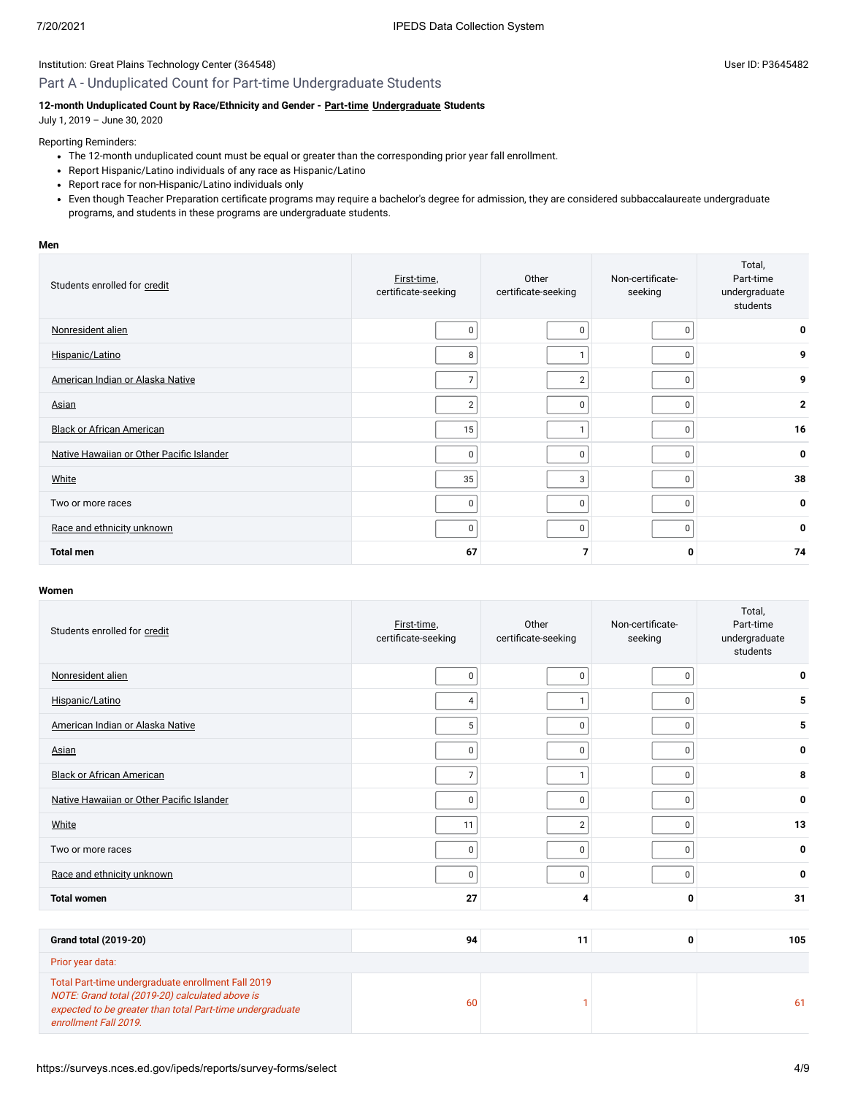# Part A - Unduplicated Count for Part-time Undergraduate Students

### **12-month Unduplicated Count by Race/Ethnicity and Gender - [Part-time](javascript:openglossary(469)) [Undergraduate](javascript:openglossary(677)) Students**

July 1, 2019 – June 30, 2020

### Reporting Reminders:

- The 12-month unduplicated count must be equal or greater than the corresponding prior year fall enrollment.
- Report Hispanic/Latino individuals of any race as Hispanic/Latino
- Report race for non-Hispanic/Latino individuals only
- Even though Teacher Preparation certificate programs may require a bachelor's degree for admission, they are considered subbaccalaureate undergraduate programs, and students in these programs are undergraduate students.

#### **Men**

| Students enrolled for credit              | First-time,<br>certificate-seeking | Other<br>certificate-seeking | Non-certificate-<br>seeking | Total,<br>Part-time<br>undergraduate<br>students |
|-------------------------------------------|------------------------------------|------------------------------|-----------------------------|--------------------------------------------------|
| Nonresident alien                         | 0                                  | 0                            | $\Omega$                    | 0                                                |
| Hispanic/Latino                           | 8                                  |                              | 0                           | 9                                                |
| American Indian or Alaska Native          |                                    | $\overline{2}$               | 0                           | 9                                                |
| Asian                                     | $\overline{2}$                     | 0                            | 0                           | $\mathbf{2}$                                     |
| <b>Black or African American</b>          | 15                                 |                              | $\Omega$                    | 16                                               |
| Native Hawaiian or Other Pacific Islander | 0                                  | 0                            | $\Omega$                    | 0                                                |
| White                                     | 35                                 | 3                            | 0                           | 38                                               |
| Two or more races                         | 0                                  | 0                            | 0                           | 0                                                |
| Race and ethnicity unknown                | 0                                  | 0                            | 0                           | 0                                                |
| <b>Total men</b>                          | 67                                 |                              | 0                           | 74                                               |

#### **Women**

| Students enrolled for credit                                                                                                                                                                | First-time,<br>certificate-seeking | Other<br>certificate-seeking | Non-certificate-<br>seeking | Total,<br>Part-time<br>undergraduate<br>students |
|---------------------------------------------------------------------------------------------------------------------------------------------------------------------------------------------|------------------------------------|------------------------------|-----------------------------|--------------------------------------------------|
| Nonresident alien                                                                                                                                                                           | 0                                  | 0                            | $\mathbf 0$                 | 0                                                |
| Hispanic/Latino                                                                                                                                                                             | 4                                  | $\mathbf{1}$                 | $\pmb{0}$                   | 5                                                |
| American Indian or Alaska Native                                                                                                                                                            | 5                                  | $\mathbf 0$                  | 0                           | 5                                                |
| Asian                                                                                                                                                                                       | 0                                  | $\mathbf 0$                  | $\Omega$                    | 0                                                |
| <b>Black or African American</b>                                                                                                                                                            | $\overline{7}$                     | $\mathbf{1}$                 | $\mathbf 0$                 | 8                                                |
| Native Hawaiian or Other Pacific Islander                                                                                                                                                   | $\mathbf 0$                        | $\mathbf 0$                  | $\mathbf 0$                 | 0                                                |
| White                                                                                                                                                                                       | 11                                 | $\sqrt{2}$                   | 0                           | 13                                               |
| Two or more races                                                                                                                                                                           | 0                                  | $\mathbf 0$                  | $\Omega$                    | 0                                                |
| Race and ethnicity unknown                                                                                                                                                                  | $\mathbf 0$                        | $\mathbf 0$                  | $\mathbf 0$                 | 0                                                |
| <b>Total women</b>                                                                                                                                                                          | 27                                 | 4                            | 0                           | 31                                               |
|                                                                                                                                                                                             |                                    |                              |                             |                                                  |
| <b>Grand total (2019-20)</b>                                                                                                                                                                | 94                                 | 11                           | 0                           | 105                                              |
| Prior year data:                                                                                                                                                                            |                                    |                              |                             |                                                  |
| Total Part-time undergraduate enrollment Fall 2019<br>NOTE: Grand total (2019-20) calculated above is<br>expected to be greater than total Part-time undergraduate<br>enrollment Fall 2019. | 60                                 |                              |                             | 61                                               |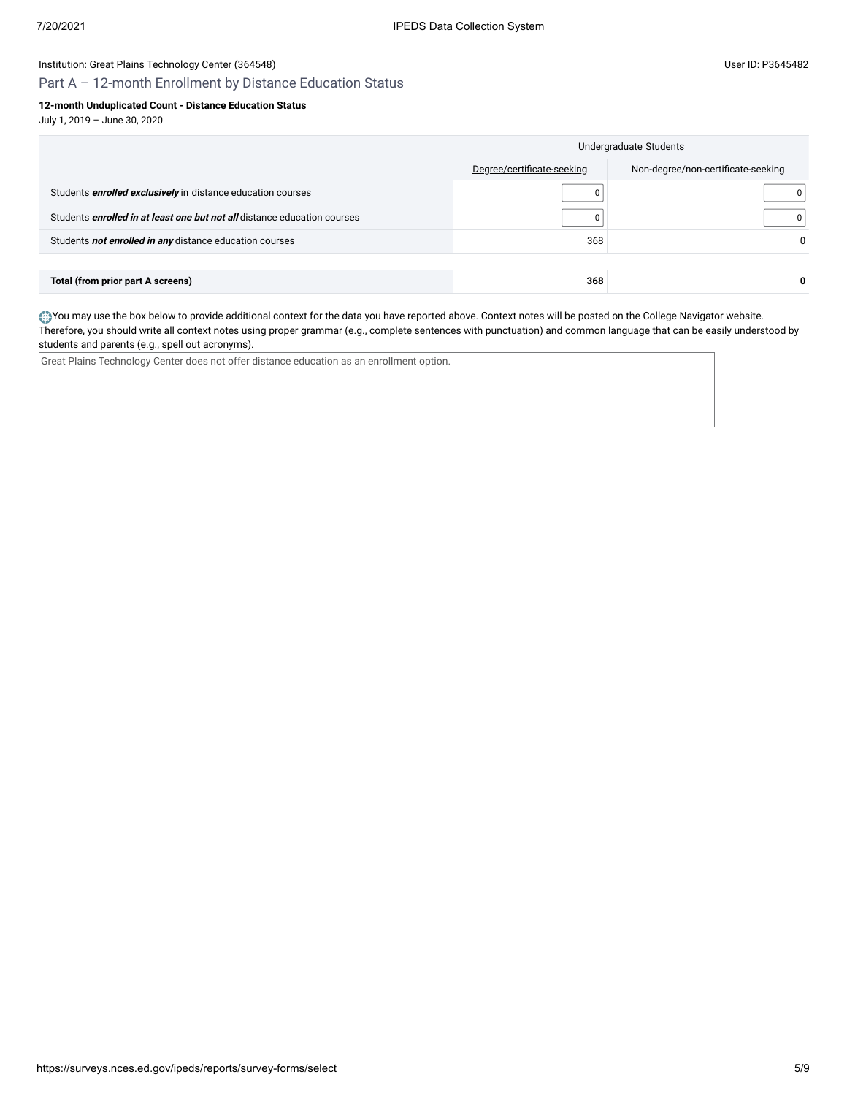Part A – 12-month Enrollment by Distance Education Status

### **12-month Unduplicated Count - Distance Education Status**

July 1, 2019 – June 30, 2020

|                                                                                 | Undergraduate Students     |                                    |  |
|---------------------------------------------------------------------------------|----------------------------|------------------------------------|--|
|                                                                                 | Degree/certificate-seeking | Non-degree/non-certificate-seeking |  |
| Students <i>enrolled exclusively</i> in distance education courses              | 0                          | 0                                  |  |
| Students <i>enrolled in at least one but not all</i> distance education courses | 0                          |                                    |  |
| Students not enrolled in any distance education courses                         | 368                        | <sup>0</sup>                       |  |
|                                                                                 |                            |                                    |  |
| Total (from prior part A screens)                                               | 368                        | 0                                  |  |

You may use the box below to provide additional context for the data you have reported above. Context notes will be posted on the College Navigator website. Therefore, you should write all context notes using proper grammar (e.g., complete sentences with punctuation) and common language that can be easily understood by students and parents (e.g., spell out acronyms).

Great Plains Technology Center does not offer distance education as an enrollment option.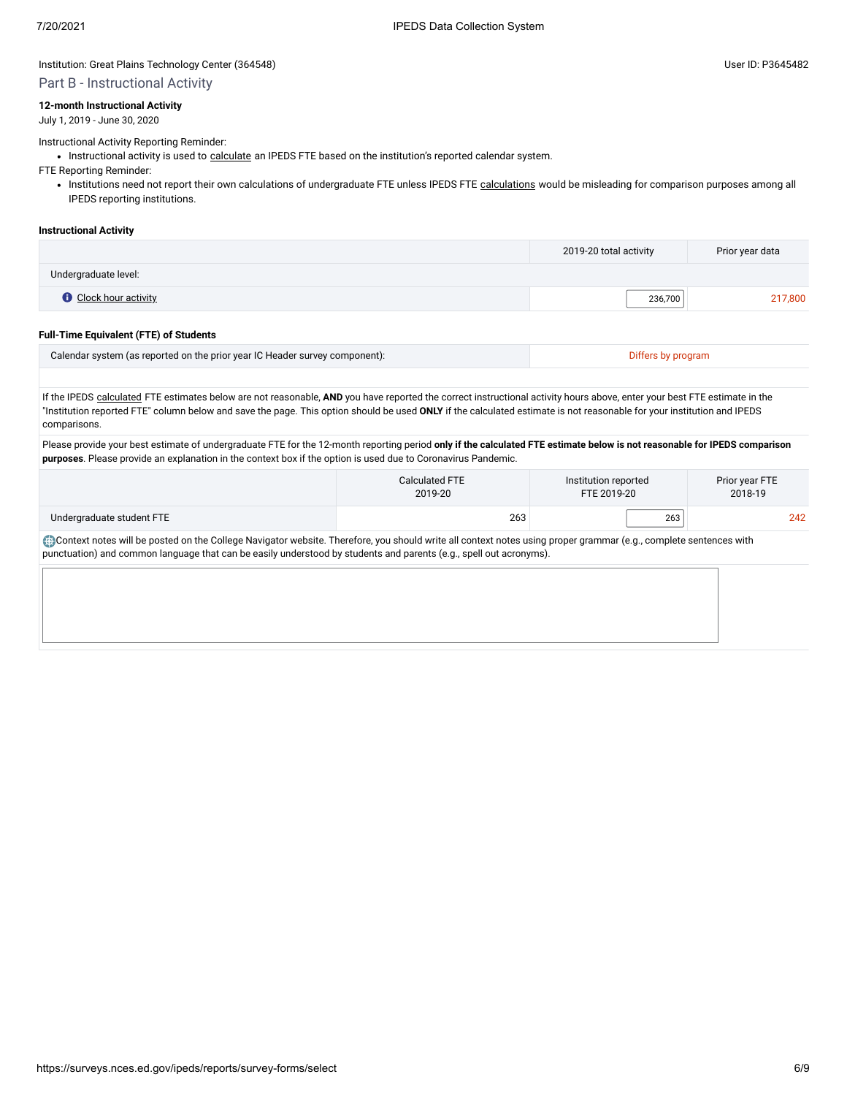### Institution: Great Plains Technology Center (364548) **Distribution: Great Plains Technology Center (3645482** User ID: P3645482

## Part B - Instructional Activity

#### **12-month Instructional Activity**

July 1, 2019 - June 30, 2020

#### Instructional Activity Reporting Reminder:

• Instructional activity is used to [calculate](javascript:openglossary(853)) an IPEDS FTE based on the institution's reported calendar system.

FTE Reporting Reminder:

. Institutions need not report their own [calculations](javascript:openglossary(853)) of undergraduate FTE unless IPEDS FTE calculations would be misleading for comparison purposes among all IPEDS reporting institutions.

#### **Instructional Activity**

|                              | 2019-20 total activity | Prior year data |
|------------------------------|------------------------|-----------------|
| Undergraduate level:         |                        |                 |
| <b>O</b> Clock hour activity | 236,700                | 217,800         |

#### **Full-Time Equivalent (FTE) of Students**

| Calendar system (as reported on the prior year IC Header survey component): |  |
|-----------------------------------------------------------------------------|--|
|                                                                             |  |

If the IPEDS [calculated](javascript:openglossary(853)) FTE estimates below are not reasonable, AND you have reported the correct instructional activity hours above, enter your best FTE estimate in the "Institution reported FTE" column below and save the page. This option should be used **ONLY** if the calculated estimate is not reasonable for your institution and IPEDS comparisons.

Please provide your best estimate of undergraduate FTE for the 12-month reporting period **only if the calculated FTE estimate below is not reasonable for IPEDS comparison purposes**. Please provide an explanation in the context box if the option is used due to Coronavirus Pandemic.

|                           | Calculated FTE | Institution reported | Prior year FTE |
|---------------------------|----------------|----------------------|----------------|
|                           | 2019-20        | FTE 2019-20          | 2018-19        |
| Undergraduate student FTE | 263            | 263                  | 242            |

Context notes will be posted on the College Navigator website. Therefore, you should write all context notes using proper grammar (e.g., complete sentences with punctuation) and common language that can be easily understood by students and parents (e.g., spell out acronyms).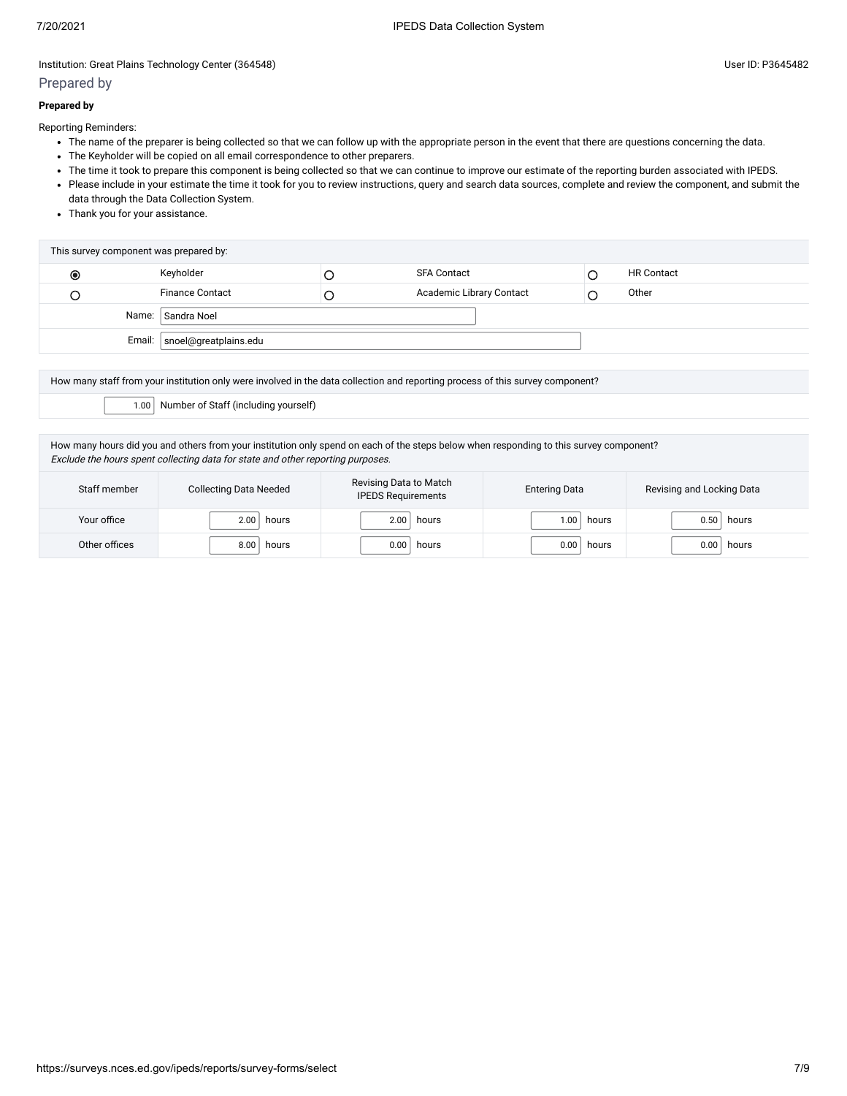# Prepared by

### **Prepared by**

Reporting Reminders:

- The name of the preparer is being collected so that we can follow up with the appropriate person in the event that there are questions concerning the data.
- The Keyholder will be copied on all email correspondence to other preparers.
- The time it took to prepare this component is being collected so that we can continue to improve our estimate of the reporting burden associated with IPEDS.
- Please include in your estimate the time it took for you to review instructions, query and search data sources, complete and review the component, and submit the data through the Data Collection System.
- Thank you for your assistance.

| This survey component was prepared by: |                                |  |                          |  |                   |
|----------------------------------------|--------------------------------|--|--------------------------|--|-------------------|
| $\bullet$                              | Keyholder                      |  | <b>SFA Contact</b>       |  | <b>HR Contact</b> |
|                                        | <b>Finance Contact</b>         |  | Academic Library Contact |  | Other             |
| Name: Sandra Noel                      |                                |  |                          |  |                   |
|                                        | Email:   snoel@greatplains.edu |  |                          |  |                   |
|                                        |                                |  |                          |  |                   |

How many staff from your institution only were involved in the data collection and reporting process of this survey component?

1.00 Number of Staff (including yourself)

How many hours did you and others from your institution only spend on each of the steps below when responding to this survey component? Exclude the hours spent collecting data for state and other reporting purposes.

| Staff member  | <b>Collecting Data Needed</b> | Revising Data to Match<br><b>IPEDS Requirements</b> | <b>Entering Data</b> | Revising and Locking Data |
|---------------|-------------------------------|-----------------------------------------------------|----------------------|---------------------------|
| Your office   | 2.00                          | 2.00                                                | .00                  | 0.50                      |
|               | hours                         | hours                                               | hours                | hours                     |
| Other offices | 8.00                          | 0.00                                                | 0.00                 | 0.00                      |
|               | hours                         | hours                                               | hours                | hours                     |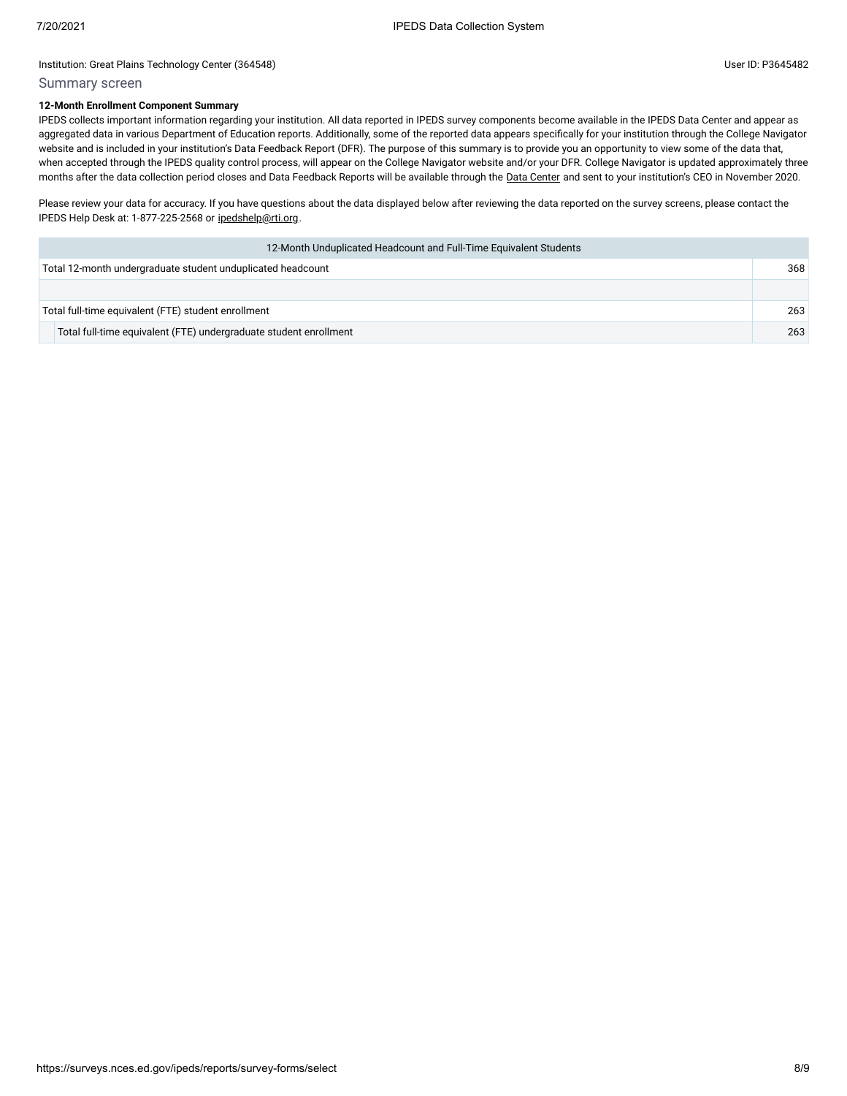# Summary screen

### **12-Month Enrollment Component Summary**

IPEDS collects important information regarding your institution. All data reported in IPEDS survey components become available in the IPEDS Data Center and appear as aggregated data in various Department of Education reports. Additionally, some of the reported data appears specifically for your institution through the College Navigator website and is included in your institution's Data Feedback Report (DFR). The purpose of this summary is to provide you an opportunity to view some of the data that, when accepted through the IPEDS quality control process, will appear on the College Navigator website and/or your DFR. College Navigator is updated approximately three months after the data collection period closes and Data Feedback Reports will be available through the Data [Center](https://nces.ed.gov/ipeds/use-the-data) and sent to your institution's CEO in November 2020.

Please review your data for accuracy. If you have questions about the data displayed below after reviewing the data reported on the survey screens, please contact the IPEDS Help Desk at: 1-877-225-2568 or [ipedshelp@rti.org](mailto:ipedshelp@rti.org).

| 12-Month Unduplicated Headcount and Full-Time Equivalent Students |     |
|-------------------------------------------------------------------|-----|
| Total 12-month undergraduate student unduplicated headcount       | 368 |
|                                                                   |     |
| Total full-time equivalent (FTE) student enrollment               | 263 |
| Total full-time equivalent (FTE) undergraduate student enrollment | 263 |